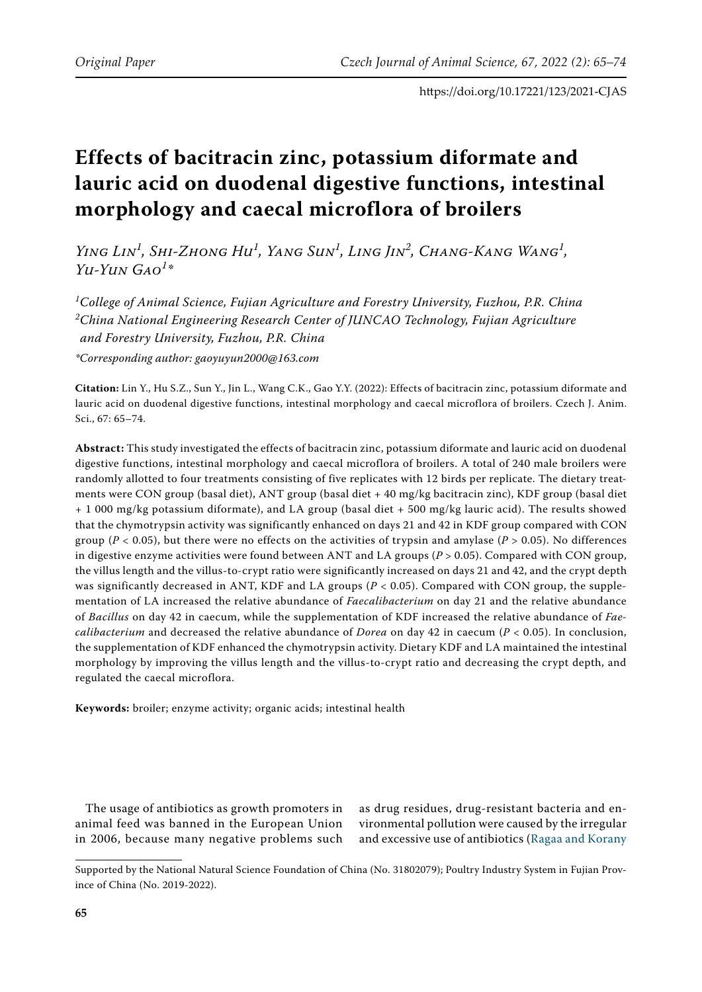# **Effects of bacitracin zinc, potassium diformate and lauric acid on duodenal digestive functions, intestinal morphology and caecal microflora of broilers**

*Ying Lin<sup>1</sup> , Shi-Zhong Hu<sup>1</sup> , Yang Sun<sup>1</sup> , Ling Jin<sup>2</sup> , Chang-Kang Wang<sup>1</sup> , Yu-Yun Gao<sup>1</sup> \**

*1 College of Animal Science, Fujian Agriculture and Forestry University, Fuzhou, P.R. China 2 China National Engineering Research Center of JUNCAO Technology, Fujian Agriculture and Forestry University, Fuzhou, P.R. China*

*\*Corresponding author: gaoyuyun2000@163.com*

**Citation:** Lin Y., Hu S.Z., Sun Y., Jin L., Wang C.K., Gao Y.Y. (2022): Effects of bacitracin zinc, potassium diformate and lauric acid on duodenal digestive functions, intestinal morphology and caecal microflora of broilers. Czech J. Anim. Sci., 67: 65–74.

**Abstract:** This study investigated the effects of bacitracin zinc, potassium diformate and lauric acid on duodenal digestive functions, intestinal morphology and caecal microflora of broilers. A total of 240 male broilers were randomly allotted to four treatments consisting of five replicates with 12 birds per replicate. The dietary treatments were CON group (basal diet), ANT group (basal diet + 40 mg/kg bacitracin zinc), KDF group (basal diet + 1 000 mg/kg potassium diformate), and LA group (basal diet + 500 mg/kg lauric acid). The results showed that the chymotrypsin activity was significantly enhanced on days 21 and 42 in KDF group compared with CON group (*P* < 0.05), but there were no effects on the activities of trypsin and amylase (*P* > 0.05). No differences in digestive enzyme activities were found between ANT and LA groups  $(P > 0.05)$ . Compared with CON group, the villus length and the villus-to-crypt ratio were significantly increased on days 21 and 42, and the crypt depth was significantly decreased in ANT, KDF and LA groups (*P* < 0.05). Compared with CON group, the supplementation of LA increased the relative abundance of *Faecalibacterium* on day 21 and the relative abundance of *Bacillus* on day 42 in caecum, while the supplementation of KDF increased the relative abundance of *Faecalibacterium* and decreased the relative abundance of *Dorea* on day 42 in caecum (*P* < 0.05). In conclusion, the supplementation of KDF enhanced the chymotrypsin activity. Dietary KDF and LA maintained the intestinal morphology by improving the villus length and the villus-to-crypt ratio and decreasing the crypt depth, and regulated the caecal microflora.

**Keywords:** broiler; enzyme activity; organic acids; intestinal health

The usage of antibiotics as growth promoters in animal feed was banned in the European Union in 2006, because many negative problems such as drug residues, drug-resistant bacteria and environmental pollution were caused by the irregular and excessive use of antibiotics ([Ragaa and Korany](#page-9-0)

Supported by the National Natural Science Foundation of China (No. 31802079); Poultry Industry System in Fujian Province of China (No. 2019-2022).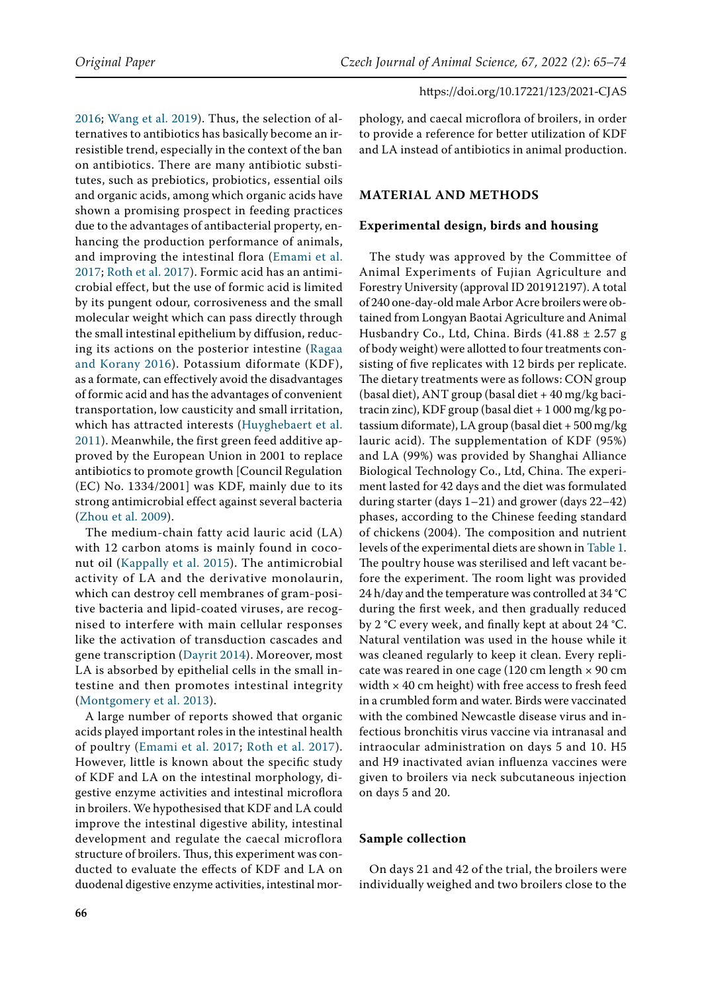[2016;](#page-9-0) [Wang et al. 2019](#page-9-1)). Thus, the selection of alternatives to antibiotics has basically become an irresistible trend, especially in the context of the ban on antibiotics. There are many antibiotic substitutes, such as prebiotics, probiotics, essential oils and organic acids, among which organic acids have shown a promising prospect in feeding practices due to the advantages of antibacterial property, enhancing the production performance of animals, and improving the intestinal flora [\(Emami et al.](#page-8-0)  [2017;](#page-8-0) [Roth et al. 2017](#page-9-2)). Formic acid has an antimicrobial effect, but the use of formic acid is limited by its pungent odour, corrosiveness and the small molecular weight which can pass directly through the small intestinal epithelium by diffusion, reducing its actions on the posterior intestine ([Ragaa](#page-9-0)  [and Korany 2016\)](#page-9-0). Potassium diformate (KDF), as a formate, can effectively avoid the disadvantages of formic acid and has the advantages of convenient transportation, low causticity and small irritation, which has attracted interests ([Huyghebaert et al.](#page-9-3)  [2011\)](#page-9-3). Meanwhile, the first green feed additive approved by the European Union in 2001 to replace antibiotics to promote growth [Council Regulation (EC) No. 1334/2001] was KDF, mainly due to its strong antimicrobial effect against several bacteria [\(Zhou et al. 2009\)](#page-9-4).

The medium-chain fatty acid lauric acid (LA) with 12 carbon atoms is mainly found in coconut oil ([Kappally et al. 2015\)](#page-9-5). The antimicrobial activity of LA and the derivative monolaurin, which can destroy cell membranes of gram-positive bacteria and lipid-coated viruses, are recognised to interfere with main cellular responses like the activation of transduction cascades and gene transcription [\(Dayrit 2014\)](#page-8-1). Moreover, most LA is absorbed by epithelial cells in the small intestine and then promotes intestinal integrity ([Montgomery et al. 2013\)](#page-9-6).

A large number of reports showed that organic acids played important roles in the intestinal health of poultry ([Emami et al. 2017](#page-8-0); [Roth et al. 2017](#page-9-2)). However, little is known about the specific study of KDF and LA on the intestinal morphology, digestive enzyme activities and intestinal microflora in broilers. We hypothesised that KDF and LA could improve the intestinal digestive ability, intestinal development and regulate the caecal microflora structure of broilers. Thus, this experiment was conducted to evaluate the effects of KDF and LA on duodenal digestive enzyme activities, intestinal morphology, and caecal microflora of broilers, in order to provide a reference for better utilization of KDF and LA instead of antibiotics in animal production.

## **MATERIAL AND METHODS**

## **Experimental design, birds and housing**

The study was approved by the Committee of Animal Experiments of Fujian Agriculture and Forestry University (approval ID 201912197). A total of 240 one-day-old male Arbor Acre broilers were obtained from Longyan Baotai Agriculture and Animal Husbandry Co., Ltd, China. Birds  $(41.88 \pm 2.57 g$ of body weight) were allotted to four treatments consisting of five replicates with 12 birds per replicate. The dietary treatments were as follows: CON group (basal diet), ANT group (basal diet + 40 mg/kg bacitracin zinc), KDF group (basal diet + 1 000 mg/kg potassium diformate), LA group (basal diet + 500 mg/kg lauric acid). The supplementation of KDF (95%) and LA (99%) was provided by Shanghai Alliance Biological Technology Co., Ltd, China. The experiment lasted for 42 days and the diet was formulated during starter (days 1–21) and grower (days 22–42) phases, according to the Chinese feeding standard of chickens (2004). The composition and nutrient levels of the experimental diets are shown in Table 1. The poultry house was sterilised and left vacant before the experiment. The room light was provided 24 h/day and the temperature was controlled at 34 °C during the first week, and then gradually reduced by 2 °C every week, and finally kept at about 24 °C. Natural ventilation was used in the house while it was cleaned regularly to keep it clean. Every replicate was reared in one cage (120 cm length  $\times$  90 cm width  $\times$  40 cm height) with free access to fresh feed in a crumbled form and water. Birds were vaccinated with the combined Newcastle disease virus and infectious bronchitis virus vaccine via intranasal and intraocular administration on days 5 and 10. H5 and H9 inactivated avian influenza vaccines were given to broilers via neck subcutaneous injection on days 5 and 20.

# **Sample collection**

On days 21 and 42 of the trial, the broilers were individually weighed and two broilers close to the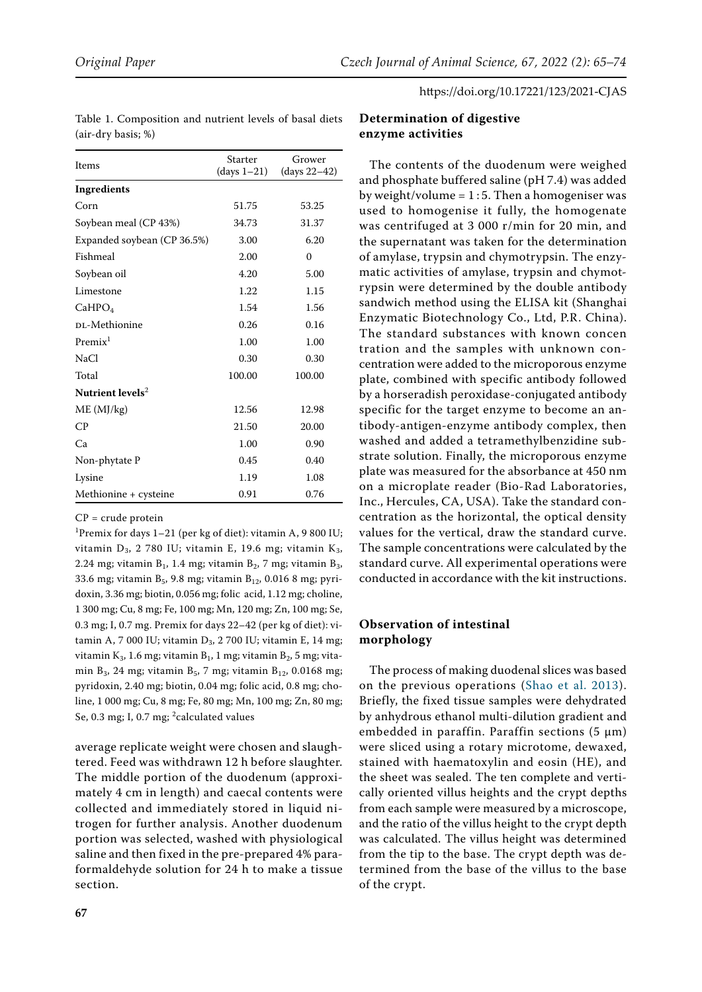| Items                        | Starter<br>$(days 1-21)$ | Grower<br>(days 22-42) |
|------------------------------|--------------------------|------------------------|
| Ingredients                  |                          |                        |
| Corn                         | 51.75                    | 53.25                  |
| Soybean meal (CP 43%)        | 34.73                    | 31.37                  |
| Expanded soybean (CP 36.5%)  | 3.00                     | 6.20                   |
| Fishmeal                     | 2.00                     | $\Omega$               |
| Soybean oil                  | 4.20                     | 5.00                   |
| Limestone                    | 1.22                     | 1.15                   |
| CaHPO <sub>4</sub>           | 1.54                     | 1.56                   |
| DL-Methionine                | 0.26                     | 0.16                   |
| Premix <sup>1</sup>          | 1.00                     | 1.00                   |
| <b>NaCl</b>                  | 0.30                     | 0.30                   |
| Total                        | 100.00                   | 100.00                 |
| Nutrient levels <sup>2</sup> |                          |                        |
| ME (MJ/kg)                   | 12.56                    | 12.98                  |
| $\mathsf{C}\mathsf{P}$       | 21.50                    | 20.00                  |
| Ca                           | 1.00                     | 0.90                   |
| Non-phytate P                | 0.45                     | 0.40                   |
| Lysine                       | 1.19                     | 1.08                   |
| Methionine + cysteine        | 0.91                     | 0.76                   |

Table 1. Composition and nutrient levels of basal diets (air-dry basis; %)

#### $CP = crude protein$

<sup>1</sup>Premix for days  $1-21$  (per kg of diet): vitamin A, 9 800 IU; vitamin  $D_3$ , 2 780 IU; vitamin E, 19.6 mg; vitamin  $K_3$ , 2.24 mg; vitamin  $B_1$ , 1.4 mg; vitamin  $B_2$ , 7 mg; vitamin  $B_3$ , 33.6 mg; vitamin  $B_5$ , 9.8 mg; vitamin  $B_{12}$ , 0.016 8 mg; pyridoxin, 3.36 mg; biotin, 0.056 mg; folic acid, 1.12 mg; choline, 1 300 mg; Cu, 8 mg; Fe, 100 mg; Mn, 120 mg; Zn, 100 mg; Se, 0.3 mg; I, 0.7 mg. Premix for days 22–42 (per kg of diet): vitamin A, 7 000 IU; vitamin  $D_3$ , 2 700 IU; vitamin E, 14 mg; vitamin  $K_3$ , 1.6 mg; vitamin  $B_1$ , 1 mg; vitamin  $B_2$ , 5 mg; vitamin  $B_3$ , 24 mg; vitamin  $B_5$ , 7 mg; vitamin  $B_{12}$ , 0.0168 mg; pyridoxin, 2.40 mg; biotin, 0.04 mg; folic acid, 0.8 mg; choline, 1 000 mg; Cu, 8 mg; Fe, 80 mg; Mn, 100 mg; Zn, 80 mg; Se, 0.3 mg; I, 0.7 mg; <sup>2</sup>calculated values

average replicate weight were chosen and slaughtered. Feed was withdrawn 12 h before slaughter. The middle portion of the duodenum (approximately 4 cm in length) and caecal contents were collected and immediately stored in liquid nitrogen for further analysis. Another duodenum portion was selected, washed with physiological saline and then fixed in the pre-prepared 4% paraformaldehyde solution for 24 h to make a tissue section.

# **Determination of digestive enzyme activities**

The contents of the duodenum were weighed and phosphate buffered saline (pH 7.4) was added by weight/volume =  $1:5$ . Then a homogeniser was used to homogenise it fully, the homogenate was centrifuged at 3 000 r/min for 20 min, and the supernatant was taken for the determination of amylase, trypsin and chymotrypsin. The enzymatic activities of amylase, trypsin and chymotrypsin were determined by the double antibody sandwich method using the ELISA kit (Shanghai Enzymatic Biotechnology Co., Ltd, P.R. China). The standard substances with known concen tration and the samples with unknown concentration were added to the microporous enzyme plate, combined with specific antibody followed by a horseradish peroxidase-conjugated antibody specific for the target enzyme to become an antibody-antigen-enzyme antibody complex, then washed and added a tetramethylbenzidine substrate solution. Finally, the microporous enzyme plate was measured for the absorbance at 450 nm on a microplate reader (Bio-Rad Laboratories, Inc., Hercules, CA, USA). Take the standard concentration as the horizontal, the optical density values for the vertical, draw the standard curve. The sample concentrations were calculated by the standard curve. All experimental operations were conducted in accordance with the kit instructions.

## **Observation of intestinal morphology**

The process of making duodenal slices was based on the previous operations ([Shao et al. 2013](#page-9-7)). Briefly, the fixed tissue samples were dehydrated by anhydrous ethanol multi-dilution gradient and embedded in paraffin. Paraffin sections (5 μm) were sliced using a rotary microtome, dewaxed, stained with haematoxylin and eosin (HE), and the sheet was sealed. The ten complete and vertically oriented villus heights and the crypt depths from each sample were measured by a microscope, and the ratio of the villus height to the crypt depth was calculated. The villus height was determined from the tip to the base. The crypt depth was determined from the base of the villus to the base of the crypt.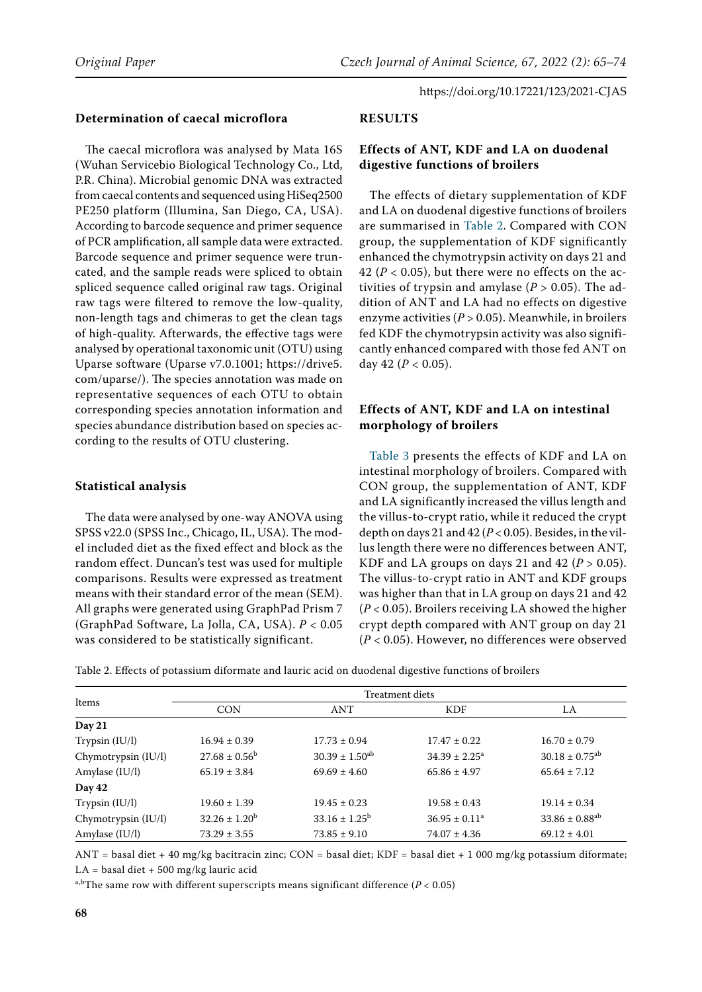# **Determination of caecal microflora**

The caecal microflora was analysed by Mata 16S (Wuhan Servicebio Biological Technology Co., Ltd, P.R. China). Microbial genomic DNA was extracted from caecal contents and sequenced using HiSeq2500 PE250 platform (Illumina, San Diego, CA, USA). According to barcode sequence and primer sequence of PCR amplification, all sample data were extracted. Barcode sequence and primer sequence were truncated, and the sample reads were spliced to obtain spliced sequence called original raw tags. Original raw tags were filtered to remove the low-quality, non-length tags and chimeras to get the clean tags of high-quality. Afterwards, the effective tags were analysed by operational taxonomic unit (OTU) using Uparse software (Uparse v7.0.1001; [https://drive5.](https://drive5.com/uparse/) [com/uparse/](https://drive5.com/uparse/)). The species annotation was made on representative sequences of each OTU to obtain corresponding species annotation information and species abundance distribution based on species according to the results of OTU clustering.

## **Statistical analysis**

The data were analysed by one-way ANOVA using SPSS v22.0 (SPSS Inc., Chicago, IL, USA). The model included diet as the fixed effect and block as the random effect. Duncan's test was used for multiple comparisons. Results were expressed as treatment means with their standard error of the mean (SEM). All graphs were generated using GraphPad Prism 7 (GraphPad Software, La Jolla, CA, USA). *P* < 0.05 was considered to be statistically significant.

## **RESULTS**

# **Effects of ANT, KDF and LA on duodenal digestive functions of broilers**

The effects of dietary supplementation of KDF and LA on duodenal digestive functions of broilers are summarised in Table 2. Compared with CON group, the supplementation of KDF significantly enhanced the chymotrypsin activity on days 21 and 42 ( $P < 0.05$ ), but there were no effects on the activities of trypsin and amylase ( $P > 0.05$ ). The addition of ANT and LA had no effects on digestive enzyme activities (*P* > 0.05). Meanwhile, in broilers fed KDF the chymotrypsin activity was also significantly enhanced compared with those fed ANT on day 42 (*P* < 0.05).

## **Effects of ANT, KDF and LA on intestinal morphology of broilers**

Table 3 presents the effects of KDF and LA on intestinal morphology of broilers. Compared with CON group, the supplementation of ANT, KDF and LA significantly increased the villus length and the villus-to-crypt ratio, while it reduced the crypt depth on days 21 and  $42 (P < 0.05)$ . Besides, in the villus length there were no differences between ANT, KDF and LA groups on days 21 and 42 ( $P > 0.05$ ). The villus-to-crypt ratio in ANT and KDF groups was higher than that in LA group on days 21 and 42 (*P* < 0.05). Broilers receiving LA showed the higher crypt depth compared with ANT group on day 21 (*P* < 0.05). However, no differences were observed

| Items               | Treatment diets    |                          |                          |                                |
|---------------------|--------------------|--------------------------|--------------------------|--------------------------------|
|                     |                    |                          |                          |                                |
|                     | <b>CON</b>         | <b>ANT</b>               | <b>KDF</b>               | LA                             |
| Day 21              |                    |                          |                          |                                |
| Trypsin $(IU/I)$    | $16.94 \pm 0.39$   | $17.73 \pm 0.94$         | $17.47 \pm 0.22$         | $16.70 \pm 0.79$               |
| Chymotrypsin (IU/l) | $27.68 \pm 0.56^b$ | $30.39 \pm 1.50^{ab}$    | $34.39 \pm 2.25^{\circ}$ | $30.18 \pm 0.75^{ab}$          |
| Amylase (IU/l)      | $65.19 \pm 3.84$   | $69.69 \pm 4.60$         | $65.86 \pm 4.97$         | $65.64 \pm 7.12$               |
| Day 42              |                    |                          |                          |                                |
| Trypsin $(IU/I)$    | $19.60 \pm 1.39$   | $19.45 \pm 0.23$         | $19.58 \pm 0.43$         | $19.14 \pm 0.34$               |
| Chymotrypsin (IU/l) | $32.26 \pm 1.20^b$ | $33.16 \pm 1.25^{\rm b}$ | $36.95 \pm 0.11^a$       | $33.86 \pm 0.88$ <sup>ab</sup> |
| Amylase (IU/l)      | $73.29 \pm 3.55$   | $73.85 \pm 9.10$         | $74.07 \pm 4.36$         | $69.12 \pm 4.01$               |

ANT = basal diet + 40 mg/kg bacitracin zinc; CON = basal diet; KDF = basal diet + 1 000 mg/kg potassium diformate;  $LA = basal$  diet + 500 mg/kg lauric acid

<sup>a,b</sup>The same row with different superscripts means significant difference ( $P < 0.05$ )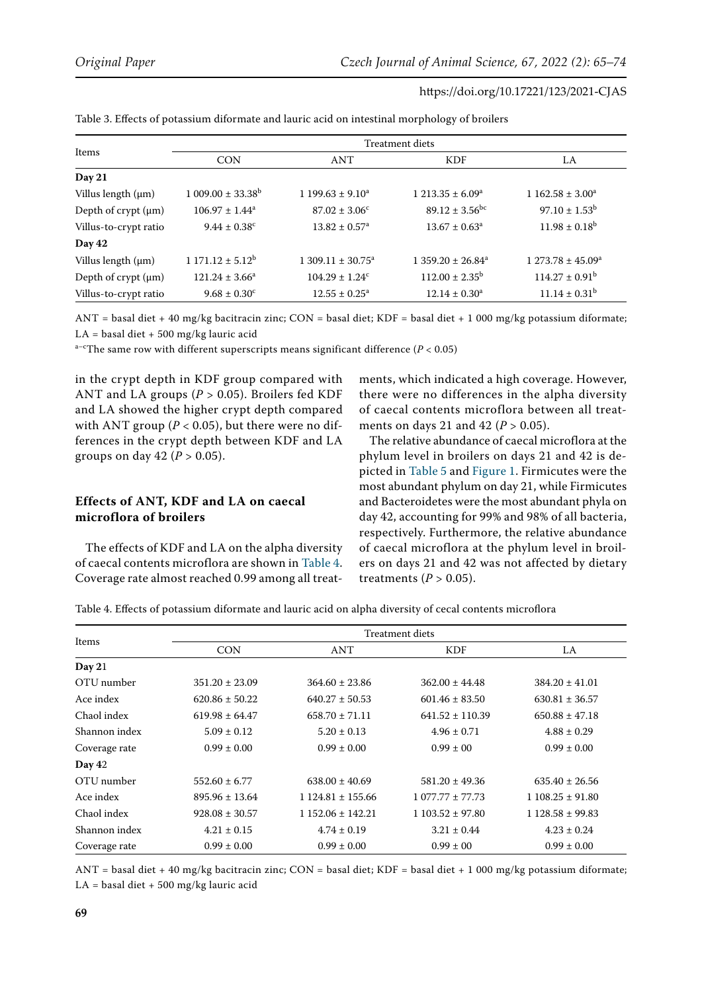| Items                       | <b>Treatment diets</b>       |                               |                                |                             |
|-----------------------------|------------------------------|-------------------------------|--------------------------------|-----------------------------|
|                             | <b>CON</b>                   | <b>ANT</b>                    | <b>KDF</b>                     | LA                          |
| Day 21                      |                              |                               |                                |                             |
| Villus length (µm)          | $1.009.00 \pm 33.38^{\rm b}$ | $1199.63 \pm 9.10^a$          | $1213.35 \pm 6.09^a$           | $1.162.58 \pm 3.00^a$       |
| Depth of $cr$ ypt $(\mu m)$ | $106.97 \pm 1.44^a$          | $87.02 \pm 3.06^{\circ}$      | $89.12 \pm 3.56$ <sup>bc</sup> | $97.10 \pm 1.53^b$          |
| Villus-to-crypt ratio       | $9.44 \pm 0.38^c$            | $13.82 \pm 0.57$ <sup>a</sup> | $13.67 \pm 0.63^a$             | $11.98 \pm 0.18^b$          |
| Day 42                      |                              |                               |                                |                             |
| Villus length (µm)          | $1171.12 \pm 5.12^b$         | $1.309.11 \pm 30.75^a$        | $1,359.20 \pm 26.84^a$         | $1273.78 \pm 45.09^{\circ}$ |
| Depth of $cr$ ypt $(\mu m)$ | $121.24 \pm 3.66^a$          | $104.29 \pm 1.24^c$           | $112.00 \pm 2.35^{\rm b}$      | $114.27 \pm 0.91^{\rm b}$   |
| Villus-to-crypt ratio       | $9.68 \pm 0.30^{\circ}$      | $12.55 \pm 0.25^{\text{a}}$   | $12.14 \pm 0.30^a$             | $11.14 \pm 0.31^b$          |

Table 3. Effects of potassium diformate and lauric acid on intestinal morphology of broilers

ANT = basal diet + 40 mg/kg bacitracin zinc; CON = basal diet; KDF = basal diet + 1 000 mg/kg potassium diformate;  $LA = basal$  diet + 500 mg/kg lauric acid

<sup>a-c</sup>The same row with different superscripts means significant difference ( $P < 0.05$ )

in the crypt depth in KDF group compared with ANT and LA groups (*P* > 0.05). Broilers fed KDF and LA showed the higher crypt depth compared with ANT group ( $P < 0.05$ ), but there were no differences in the crypt depth between KDF and LA groups on day  $42 (P > 0.05)$ .

# **Effects of ANT, KDF and LA on caecal microflora of broilers**

The effects of KDF and LA on the alpha diversity of caecal contents microflora are shown in Table 4. Coverage rate almost reached 0.99 among all treat-

ments, which indicated a high coverage. However, there were no differences in the alpha diversity of caecal contents microflora between all treatments on days 21 and 42 ( $P > 0.05$ ).

The relative abundance of caecal microflora at the phylum level in broilers on days 21 and 42 is depicted in Table 5 and [Figure 1](#page-5-0). Firmicutes were the most abundant phylum on day 21, while Firmicutes and Bacteroidetes were the most abundant phyla on day 42, accounting for 99% and 98% of all bacteria, respectively. Furthermore, the relative abundance of caecal microflora at the phylum level in broilers on days 21 and 42 was not affected by dietary treatments  $(P > 0.05)$ .

Table 4. Effects of potassium diformate and lauric acid on alpha diversity of cecal contents microflora

| Items         | <b>Treatment diets</b> |                      |                      |                     |
|---------------|------------------------|----------------------|----------------------|---------------------|
|               | <b>CON</b>             | ANT                  | <b>KDF</b>           | LA.                 |
| Day $21$      |                        |                      |                      |                     |
| OTU number    | $351.20 \pm 23.09$     | $364.60 \pm 23.86$   | $362.00 \pm 44.48$   | $384.20 \pm 41.01$  |
| Ace index     | $620.86 \pm 50.22$     | $640.27 \pm 50.53$   | $601.46 \pm 83.50$   | $630.81 \pm 36.57$  |
| Chaol index   | $619.98 \pm 64.47$     | $658.70 \pm 71.11$   | $641.52 \pm 110.39$  | $650.88 \pm 47.18$  |
| Shannon index | $5.09 \pm 0.12$        | $5.20 \pm 0.13$      | $4.96 \pm 0.71$      | $4.88 \pm 0.29$     |
| Coverage rate | $0.99 \pm 0.00$        | $0.99 \pm 0.00$      | $0.99 \pm 0.0$       | $0.99 \pm 0.00$     |
| Day 42        |                        |                      |                      |                     |
| OTU number    | $552.60 \pm 6.77$      | $638.00 \pm 40.69$   | $581.20 \pm 49.36$   | $635.40 \pm 26.56$  |
| Ace index     | $895.96 \pm 13.64$     | $1124.81 \pm 155.66$ | $1.077.77 \pm 77.73$ | $1108.25 \pm 91.80$ |
| Chaol index   | $928.08 \pm 30.57$     | $1152.06 \pm 142.21$ | $1103.52 \pm 97.80$  | $1128.58 \pm 99.83$ |
| Shannon index | $4.21 \pm 0.15$        | $4.74 \pm 0.19$      | $3.21 \pm 0.44$      | $4.23 \pm 0.24$     |
| Coverage rate | $0.99 \pm 0.00$        | $0.99 \pm 0.00$      | $0.99 \pm 0.0$       | $0.99 \pm 0.00$     |

ANT = basal diet + 40 mg/kg bacitracin zinc; CON = basal diet; KDF = basal diet + 1 000 mg/kg potassium diformate;  $LA = basal$  diet + 500 mg/kg lauric acid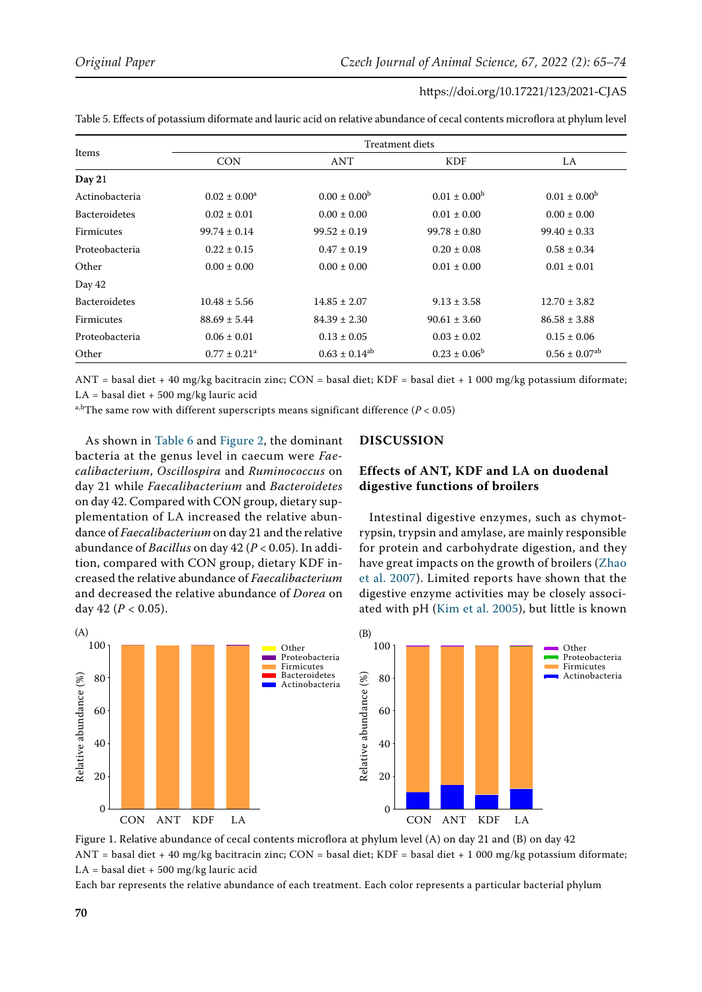| Items                | Treatment diets   |                         |                         |                               |
|----------------------|-------------------|-------------------------|-------------------------|-------------------------------|
|                      | <b>CON</b>        | ANT                     | <b>KDF</b>              | LA.                           |
| Day 21               |                   |                         |                         |                               |
| Actinobacteria       | $0.02 \pm 0.00^a$ | $0.00 \pm 0.00^{\rm b}$ | $0.01 \pm 0.00^{\rm b}$ | $0.01 \pm 0.00^{\rm b}$       |
| <b>Bacteroidetes</b> | $0.02 \pm 0.01$   | $0.00 \pm 0.00$         | $0.01 \pm 0.00$         | $0.00 \pm 0.00$               |
| Firmicutes           | $99.74 \pm 0.14$  | $99.52 \pm 0.19$        | $99.78 \pm 0.80$        | $99.40 \pm 0.33$              |
| Proteobacteria       | $0.22 \pm 0.15$   | $0.47 \pm 0.19$         | $0.20 \pm 0.08$         | $0.58 \pm 0.34$               |
| Other                | $0.00 \pm 0.00$   | $0.00 \pm 0.00$         | $0.01 \pm 0.00$         | $0.01 \pm 0.01$               |
| Day 42               |                   |                         |                         |                               |
| <b>Bacteroidetes</b> | $10.48 \pm 5.56$  | $14.85 \pm 2.07$        | $9.13 \pm 3.58$         | $12.70 \pm 3.82$              |
| <b>Firmicutes</b>    | $88.69 \pm 5.44$  | $84.39 \pm 2.30$        | $90.61 \pm 3.60$        | $86.58 \pm 3.88$              |
| Proteobacteria       | $0.06 \pm 0.01$   | $0.13 \pm 0.05$         | $0.03 \pm 0.02$         | $0.15 \pm 0.06$               |
| Other                | $0.77 \pm 0.21^a$ | $0.63 \pm 0.14^{ab}$    | $0.23 \pm 0.06^b$       | $0.56 \pm 0.07$ <sup>ab</sup> |

Table 5. Effects of potassium diformate and lauric acid on relative abundance of cecal contents microflora at phylum level

ANT = basal diet + 40 mg/kg bacitracin zinc; CON = basal diet; KDF = basal diet + 1 000 mg/kg potassium diformate;  $LA = basal$  diet + 500 mg/kg lauric acid

<sup>a,b</sup>The same row with different superscripts means significant difference ( $P < 0.05$ )

As shown in Table 6 and [Figure 2,](#page-7-0) the dominant bacteria at the genus level in caecum were *Faecalibacterium*, *Oscillospira* and *Ruminococcus* on day 21 while *Faecalibacterium* and *Bacteroidetes* on day 42. Compared with CON group, dietary supplementation of LA increased the relative abundance of *Faecalibacterium* on day 21 and the relative abundance of *Bacillus* on day 42 (*P* < 0.05). In addition, compared with CON group, dietary KDF increased the relative abundance of *Faecalibacterium* and decreased the relative abundance of *Dorea* on day 42 (*P* < 0.05).

### **DISCUSSION**

# **Effects of ANT, KDF and LA on duodenal digestive functions of broilers**

Intestinal digestive enzymes, such as chymotrypsin, trypsin and amylase, are mainly responsible for protein and carbohydrate digestion, and they have great impacts on the growth of broilers ([Zhao](#page-9-8) [et al. 2007\)](#page-9-8). Limited reports have shown that the digestive enzyme activities may be closely associated with pH [\(Kim et al. 2005\)](#page-9-9), but little is known

<span id="page-5-0"></span>

Figure 1. Relative abundance of cecal contents microflora at phylum level (A) on day 21 and (B) on day 42 ANT = basal diet + 40 mg/kg bacitracin zinc; CON = basal diet; KDF = basal diet + 1 000 mg/kg potassium diformate;  $LA = basal$  diet + 500 mg/kg lauric acid

Each bar represents the relative abundance of each treatment. Each color represents a particular bacterial phylum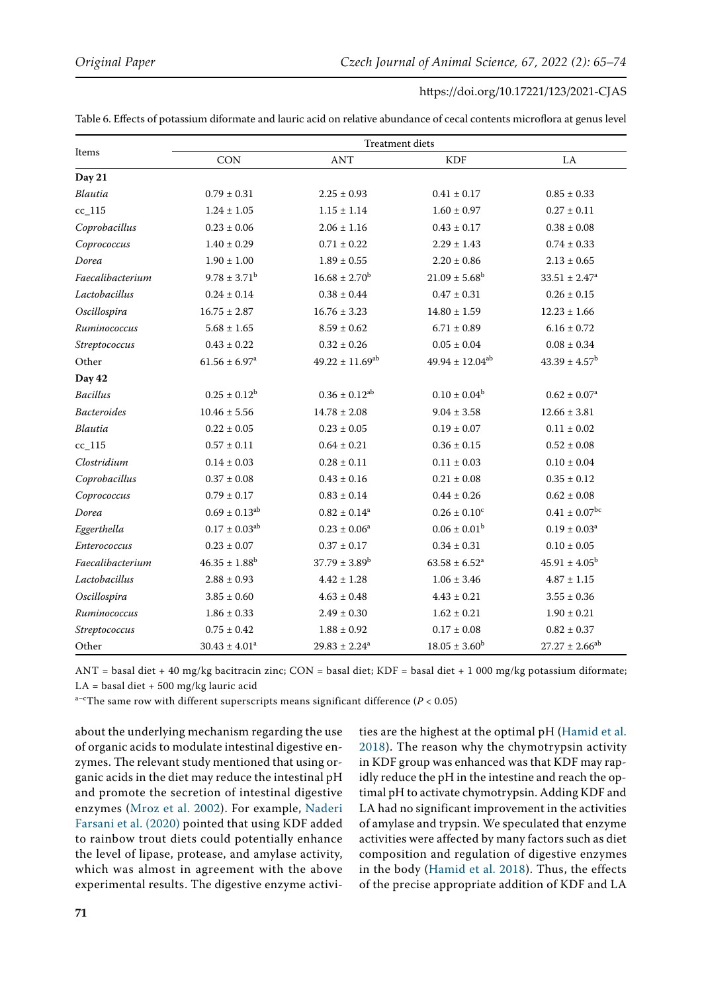Table 6. Effects of potassium diformate and lauric acid on relative abundance of cecal contents microflora at genus level

| Items              | <b>Treatment</b> diets        |                        |                        |                          |
|--------------------|-------------------------------|------------------------|------------------------|--------------------------|
|                    | <b>CON</b>                    | <b>ANT</b>             | <b>KDF</b>             | LA                       |
| Day 21             |                               |                        |                        |                          |
| Blautia            | $0.79 \pm 0.31$               | $2.25 \pm 0.93$        | $0.41 \pm 0.17$        | $0.85 \pm 0.33$          |
| $cc_115$           | $1.24 \pm 1.05$               | $1.15 \pm 1.14$        | $1.60 \pm 0.97$        | $0.27 \pm 0.11$          |
| Coprobacillus      | $0.23 \pm 0.06$               | $2.06 \pm 1.16$        | $0.43 \pm 0.17$        | $0.38 \pm 0.08$          |
| Coprococcus        | $1.40\pm0.29$                 | $0.71 \pm 0.22$        | $2.29 \pm 1.43$        | $0.74 \pm 0.33$          |
| Dorea              | $1.90 \pm 1.00$               | $1.89 \pm 0.55$        | $2.20 \pm 0.86$        | $2.13\pm0.65$            |
| Faecalibacterium   | $9.78 \pm 3.71^b$             | $16.68 \pm 2.70^b$     | $21.09 \pm 5.68^b$     | $33.51 \pm 2.47^a$       |
| Lactobacillus      | $0.24 \pm 0.14$               | $0.38 \pm 0.44$        | $0.47 \pm 0.31$        | $0.26\pm0.15$            |
| Oscillospira       | $16.75 \pm 2.87$              | $16.76 \pm 3.23$       | $14.80 \pm 1.59$       | $12.23 \pm 1.66$         |
| Ruminococcus       | $5.68 \pm 1.65$               | $8.59 \pm 0.62$        | $6.71 \pm 0.89$        | $6.16 \pm 0.72$          |
| Streptococcus      | $0.43\pm0.22$                 | $0.32 \pm 0.26$        | $0.05 \pm 0.04$        | $0.08 \pm 0.34$          |
| Other              | $61.56 \pm 6.97$ <sup>a</sup> | $49.22 \pm 11.69^{ab}$ | $49.94 \pm 12.04^{ab}$ | $43.39 \pm 4.57^{\rm b}$ |
| Day 42             |                               |                        |                        |                          |
| <b>Bacillus</b>    | $0.25 \pm 0.12^b$             | $0.36 \pm 0.12^{ab}$   | $0.10 \pm 0.04^b$      | $0.62 \pm 0.07^a$        |
| <b>Bacteroides</b> | $10.46 \pm 5.56$              | $14.78 \pm 2.08$       | $9.04 \pm 3.58$        | $12.66 \pm 3.81$         |
| Blautia            | $0.22 \pm 0.05$               | $0.23 \pm 0.05$        | $0.19 \pm 0.07$        | $0.11 \pm 0.02$          |
| $cc_115$           | $0.57 \pm 0.11$               | $0.64 \pm 0.21$        | $0.36 \pm 0.15$        | $0.52 \pm 0.08$          |
| Clostridium        | $0.14 \pm 0.03$               | $0.28 \pm 0.11$        | $0.11 \pm 0.03$        | $0.10 \pm 0.04$          |
| Coprobacillus      | $0.37 \pm 0.08$               | $0.43 \pm 0.16$        | $0.21 \pm 0.08$        | $0.35 \pm 0.12$          |
| Coprococcus        | $0.79 \pm 0.17$               | $0.83 \pm 0.14$        | $0.44 \pm 0.26$        | $0.62 \pm 0.08$          |
| Dorea              | $0.69 \pm 0.13^{ab}$          | $0.82 \pm 0.14^a$      | $0.26 \pm 0.10^c$      | $0.41\pm0.07^{\rm bc}$   |
| Eggerthella        | $0.17 \pm 0.03^{ab}$          | $0.23 \pm 0.06^a$      | $0.06 \pm 0.01^b$      | $0.19 \pm 0.03^a$        |
| Enterococcus       | $0.23 \pm 0.07$               | $0.37 \pm 0.17$        | $0.34 \pm 0.31$        | $0.10\pm0.05$            |
| Faecalibacterium   | $46.35 \pm 1.88$ <sup>b</sup> | $37.79 \pm 3.89^b$     | $63.58 \pm 6.52^a$     | $45.91 \pm 4.05^{\rm b}$ |
| Lactobacillus      | $2.88 \pm 0.93$               | $4.42 \pm 1.28$        | $1.06 \pm 3.46$        | $4.87 \pm 1.15$          |
| Oscillospira       | $3.85\pm0.60$                 | $4.63 \pm 0.48$        | $4.43 \pm 0.21$        | $3.55\pm0.36$            |
| Ruminococcus       | $1.86 \pm 0.33$               | $2.49 \pm 0.30$        | $1.62 \pm 0.21$        | $1.90\pm0.21$            |
| Streptococcus      | $0.75\pm0.42$                 | $1.88 \pm 0.92$        | $0.17 \pm 0.08$        | $0.82 \pm 0.37$          |
| Other              | $30.43 \pm 4.01^a$            | $29.83 \pm 2.24^a$     | $18.05 \pm 3.60^b$     | $27.27 \pm 2.66^{ab}$    |

 $ANT = basal$  diet + 40 mg/kg bacitracin zinc;  $CON = basal$  diet;  $KDF = basal$  diet + 1 000 mg/kg potassium diformate;  $LA = basal$  diet + 500 mg/kg lauric acid

 $a$ -cThe same row with different superscripts means significant difference ( $P < 0.05$ )

about the underlying mechanism regarding the use of organic acids to modulate intestinal digestive enzymes. The relevant study mentioned that using organic acids in the diet may reduce the intestinal pH and promote the secretion of intestinal digestive enzymes [\(Mroz et al. 2002\)](#page-9-10). For example, [Naderi](#page-9-11)  [Farsani et al. \(2020\)](#page-9-11) pointed that using KDF added to rainbow trout diets could potentially enhance the level of lipase, protease, and amylase activity, which was almost in agreement with the above experimental results. The digestive enzyme activities are the highest at the optimal pH [\(Hamid et al.](#page-9-12) [2018\)](#page-9-12). The reason why the chymotrypsin activity in KDF group was enhanced was that KDF may rapidly reduce the pH in the intestine and reach the optimal pH to activate chymotrypsin. Adding KDF and LA had no significant improvement in the activities of amylase and trypsin. We speculated that enzyme activities were affected by many factors such as diet composition and regulation of digestive enzymes in the body ([Hamid et al. 2018\)](#page-9-12). Thus, the effects of the precise appropriate addition of KDF and LA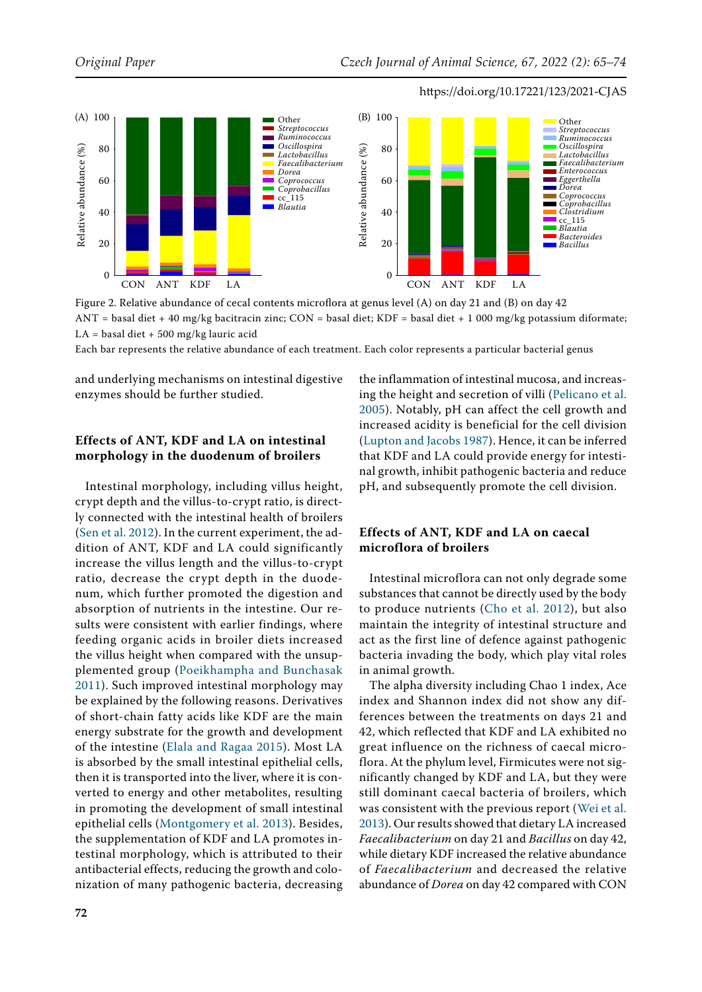<span id="page-7-0"></span>

Figure 2. Relative abundance of cecal contents microflora at genus level (A) on day 21 and (B) on day 42 ANT = basal diet + 40 mg/kg bacitracin zinc; CON = basal diet; KDF = basal diet + 1 000 mg/kg potassium diformate;  $LA = basal$  diet + 500 mg/kg lauric acid

Each bar represents the relative abundance of each treatment. Each color represents a particular bacterial genus

and underlying mechanisms on intestinal digestive enzymes should be further studied.

## **Effects of ANT, KDF and LA on intestinal morphology in the duodenum of broilers**

Intestinal morphology, including villus height, crypt depth and the villus-to-crypt ratio, is directly connected with the intestinal health of broilers [\(Sen et al. 2012\)](#page-9-13). In the current experiment, the addition of ANT, KDF and LA could significantly increase the villus length and the villus-to-crypt ratio, decrease the crypt depth in the duodenum, which further promoted the digestion and absorption of nutrients in the intestine. Our results were consistent with earlier findings, where feeding organic acids in broiler diets increased the villus height when compared with the unsupplemented group ([Poeikhampha and Bunchasak](#page-9-14)  [2011\)](#page-9-14). Such improved intestinal morphology may be explained by the following reasons. Derivatives of short-chain fatty acids like KDF are the main energy substrate for the growth and development of the intestine ([Elala and Ragaa 2015\)](#page-8-2). Most LA is absorbed by the small intestinal epithelial cells, then it is transported into the liver, where it is converted to energy and other metabolites, resulting in promoting the development of small intestinal epithelial cells [\(Montgomery et al. 2013\)](#page-9-6). Besides, the supplementation of KDF and LA promotes intestinal morphology, which is attributed to their antibacterial effects, reducing the growth and colonization of many pathogenic bacteria, decreasing

the inflammation of intestinal mucosa, and increasing the height and secretion of villi ([Pelicano et al.](#page-9-15) [2005\)](#page-9-15). Notably, pH can affect the cell growth and increased acidity is beneficial for the cell division [\(Lupton and Jacobs 1987](#page-9-16)). Hence, it can be inferred that KDF and LA could provide energy for intestinal growth, inhibit pathogenic bacteria and reduce pH, and subsequently promote the cell division.

# **Effects of ANT, KDF and LA on caecal microflora of broilers**

Intestinal microflora can not only degrade some substances that cannot be directly used by the body to produce nutrients ([Cho et al. 2012\)](#page-8-3), but also maintain the integrity of intestinal structure and act as the first line of defence against pathogenic bacteria invading the body, which play vital roles in animal growth.

The alpha diversity including Chao 1 index, Ace index and Shannon index did not show any differences between the treatments on days 21 and 42, which reflected that KDF and LA exhibited no great influence on the richness of caecal microflora. At the phylum level, Firmicutes were not significantly changed by KDF and LA, but they were still dominant caecal bacteria of broilers, which was consistent with the previous report ([Wei et al.](#page-9-17) [2013](#page-9-17)). Our results showed that dietary LA increased *Faecalibacterium* on day 21 and *Bacillus* on day 42, while dietary KDF increased the relative abundance of *Faecalibacterium* and decreased the relative abundance of *Dorea* on day 42 compared with CON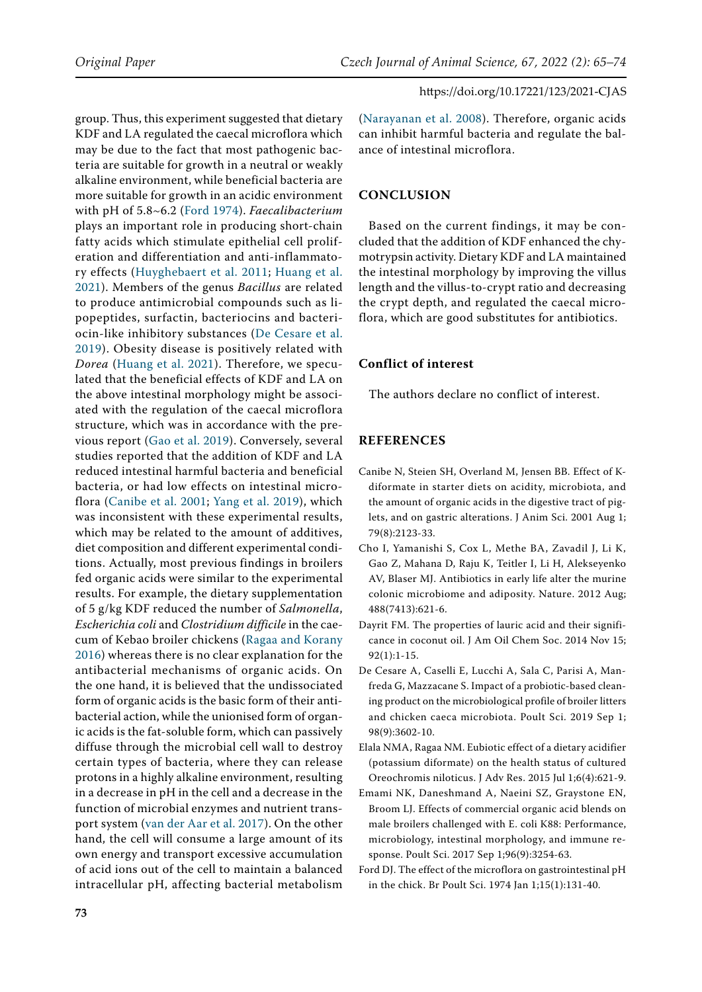group. Thus, this experiment suggested that dietary KDF and LA regulated the caecal microflora which may be due to the fact that most pathogenic bacteria are suitable for growth in a neutral or weakly alkaline environment, while beneficial bacteria are more suitable for growth in an acidic environment with pH of 5.8~6.2 [\(Ford 1974](#page-8-4)). *Faecalibacterium* plays an important role in producing short-chain fatty acids which stimulate epithelial cell proliferation and differentiation and anti-inflammatory effects ([Huyghebaert et al. 2011](#page-9-3); [Huang et al.](#page-9-18)  [2021\)](#page-9-18). Members of the genus *Bacillus* are related to produce antimicrobial compounds such as lipopeptides, surfactin, bacteriocins and bacteriocin-like inhibitory substances [\(De Cesare et al.](#page-8-5)  [2019](#page-8-5)). Obesity disease is positively related with *Dorea* ([Huang et al. 2021\)](#page-9-18). Therefore, we speculated that the beneficial effects of KDF and LA on the above intestinal morphology might be associated with the regulation of the caecal microflora structure, which was in accordance with the previous report ([Gao et al. 2019](#page-9-19)). Conversely, several studies reported that the addition of KDF and LA reduced intestinal harmful bacteria and beneficial bacteria, or had low effects on intestinal microflora ([Canibe et al. 2001](#page-8-6); [Yang et al. 2019\)](#page-9-20), which was inconsistent with these experimental results, which may be related to the amount of additives, diet composition and different experimental conditions. Actually, most previous findings in broilers fed organic acids were similar to the experimental results. For example, the dietary supplementation of 5 g/kg KDF reduced the number of *Salmonella*, *Escherichia coli* and *Clostridium difficile* in the caecum of Kebao broiler chickens [\(Ragaa and Korany](#page-9-0)  [2016\)](#page-9-0) whereas there is no clear explanation for the antibacterial mechanisms of organic acids. On the one hand, it is believed that the undissociated form of organic acids is the basic form of their antibacterial action, while the unionised form of organic acids is the fat-soluble form, which can passively diffuse through the microbial cell wall to destroy certain types of bacteria, where they can release protons in a highly alkaline environment, resulting in a decrease in pH in the cell and a decrease in the function of microbial enzymes and nutrient transport system ([van der Aar et al. 2017](#page-9-21)). On the other hand, the cell will consume a large amount of its own energy and transport excessive accumulation of acid ions out of the cell to maintain a balanced intracellular pH, affecting bacterial metabolism

([Narayanan et al. 2008\)](#page-9-22). Therefore, organic acids can inhibit harmful bacteria and regulate the balance of intestinal microflora.

## **CONCLUSION**

Based on the current findings, it may be concluded that the addition of KDF enhanced the chymotrypsin activity. Dietary KDF and LA maintained the intestinal morphology by improving the villus length and the villus-to-crypt ratio and decreasing the crypt depth, and regulated the caecal microflora, which are good substitutes for antibiotics.

## **Conflict of interest**

The authors declare no conflict of interest.

## **REFERENCES**

- <span id="page-8-6"></span>Canibe N, Steien SH, Overland M, Jensen BB. Effect of Kdiformate in starter diets on acidity, microbiota, and the amount of organic acids in the digestive tract of piglets, and on gastric alterations. J Anim Sci. 2001 Aug 1; 79(8):2123-33.
- <span id="page-8-3"></span>Cho I, Yamanishi S, Cox L, Methe BA, Zavadil J, Li K, Gao Z, Mahana D, Raju K, Teitler I, Li H, Alekseyenko AV, Blaser MJ. Antibiotics in early life alter the murine colonic microbiome and adiposity. Nature. 2012 Aug; 488(7413):621-6.
- <span id="page-8-1"></span>Dayrit FM. The properties of lauric acid and their significance in coconut oil. J Am Oil Chem Soc. 2014 Nov 15;  $92(1):1-15$
- <span id="page-8-5"></span>De Cesare A, Caselli E, Lucchi A, Sala C, Parisi A, Manfreda G, Mazzacane S. Impact of a probiotic-based cleaning product on the microbiological profile of broiler litters and chicken caeca microbiota. Poult Sci. 2019 Sep 1; 98(9):3602-10.
- <span id="page-8-2"></span>Elala NMA, Ragaa NM. Eubiotic effect of a dietary acidifier (potassium diformate) on the health status of cultured Oreochromis niloticus. J Adv Res. 2015 Jul 1;6(4):621-9.
- <span id="page-8-0"></span>Emami NK, Daneshmand A, Naeini SZ, Graystone EN, Broom LJ. Effects of commercial organic acid blends on male broilers challenged with E. coli K88: Performance, microbiology, intestinal morphology, and immune response. Poult Sci. 2017 Sep 1;96(9):3254-63.
- <span id="page-8-4"></span>Ford DJ. The effect of the microflora on gastrointestinal pH in the chick. Br Poult Sci. 1974 Jan 1;15(1):131-40.